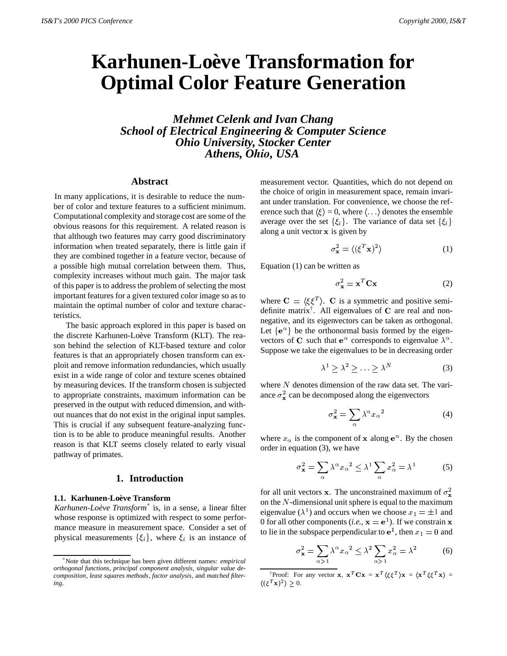# **Karhunen-Loeve Transformation for ` Optimal Color Feature Generation**

*Mehmet Celenk and Ivan Chang School of Electrical Engineering & Computer Science Ohio University, Stocker Center Athens, Ohio, USA*

#### **Abstract**

In many applications, it is desirable to reduce the number of color and texture features to a sufficient minimum. Computational complexity and storage cost are some of the obvious reasons for this requirement. A related reason is that although two features may carry good discriminatory information when treated separately, there is little gain if they are combined together in a feature vector, because of a possible high mutual correlation between them. Thus, complexity increases without much gain. The major task of this paper is to address the problem of selecting the most important features for a given textured color image so as to maintain the optimal number of color and texture characteristics.

The basic approach explored in this paper is based on the discrete Karhunen-Loève Transform (KLT). The reason behind the selection of KLT-based texture and color features is that an appropriately chosen transform can exploit and remove information redundancies, which usually exist in a wide range of color and texture scenes obtained by measuring devices. If the transform chosen is subjected to appropriate constraints, maximum information can be preserved in the output with reduced dimension, and without nuances that do not exist in the original input samples. This is crucial if any subsequent feature-analyzing function is to be able to produce meaningful results. Another reason is that KLT seems closely related to early visual pathway of primates.

# **1. Introduction**

#### **1.1. Karhunen-Loève Transform**

*Karhunen-Loev` e Transform*\* is, in a sense, a linear filter whose response is optimized with respect to some performance measure in measurement space. Consider a set of physical measurements  $\{\xi_i\}$ , where  $\xi_i$  is an instance of

measurement vector. Quantities, which do not depend on the choice of origin in measurement space, remain invariant under translation. For convenience, we choose the reference such that  $\langle \xi \rangle = 0$ , where  $\langle \ldots \rangle$  denotes the ensemble average over the set  $\{\xi_i\}$ . The variance of data set  $\{\xi_i\}$ along a unit vector  $x$  is given by

$$
\sigma_{\mathbf{x}}^2 = \langle (\xi^T \mathbf{x})^2 \rangle \tag{1}
$$

Equation (1) can be written as

$$
\sigma_{\mathbf{x}}^2 = \mathbf{x}^T \mathbf{C} \mathbf{x} \tag{2}
$$

where  $\mathbf{C} = \langle \xi \xi^T \rangle$ . **C** is a symmetric and positive semidefinite matrix<sup>†</sup>. All eigenvalues of  $C$  are real and nonnegative, and its eigenvectors can be taken as orthogonal. Let  $\{e^{\alpha}\}\$  be the orthonormal basis formed by the eigenvectors of C such that  $e^{\alpha}$  corresponds to eigenvalue  $\lambda^{\alpha}$ . Suppose we take the eigenvalues to be in decreasing order

$$
\lambda^1 \ge \lambda^2 \ge \ldots \ge \lambda^N \tag{3}
$$

where  $N$  denotes dimension of the raw data set. The variance  $\sigma_{\mathbf{x}}^2$  can be decomposed along the eigenvectors

$$
\sigma_{\mathbf{x}}^2 = \sum_{\alpha} \lambda^{\alpha} x_{\alpha}^2 \tag{4}
$$

where  $x_{\alpha}$  is the component of x along  $e^{\alpha}$ . By the chosen order in equation (3), we have

$$
\sigma_{\mathbf{x}}^2 = \sum_{\alpha} \lambda^{\alpha} x_{\alpha}^2 \le \lambda^1 \sum_{\alpha} x_{\alpha}^2 = \lambda^1 \tag{5}
$$

for all unit vectors **x**. The unconstrained maximum of  $\sigma_x^2$ on the  $N$ -dimensional unit sphere is equal to the maximum eigenvalue ( $\lambda^1$ ) and occurs when we choose  $x_1 = \pm 1$  and 0 for all other components (*i.e.*,  $\mathbf{x} = \mathbf{e}^1$ ). If we constrain x to lie in the subspace perpendicular to  $e^1$ , then  $x_1 = 0$  and

$$
\sigma_{\mathbf{x}}^2 = \sum_{\alpha > 1} \lambda^{\alpha} x_{\alpha}^2 \le \lambda^2 \sum_{\alpha > 1} x_{\alpha}^2 = \lambda^2 \tag{6}
$$

<sup>\*</sup>Note that this technique has been given different names: *empirical orthogonal functions*, *principal component analysis*, *singular value decomposition*, *least squares methods*, *factor analysis*, and *matched filtering*.

<sup>&</sup>lt;sup>†</sup>Proof: For any vector **x**,  $\mathbf{x}^T \mathbf{C} \mathbf{x} = \mathbf{x}^T \langle \xi \xi^T \rangle \mathbf{x} = \langle \mathbf{x}^T \xi \xi^T \mathbf{x} \rangle =$  $\langle (\xi^T \mathbf{x})^2 \rangle > 0.$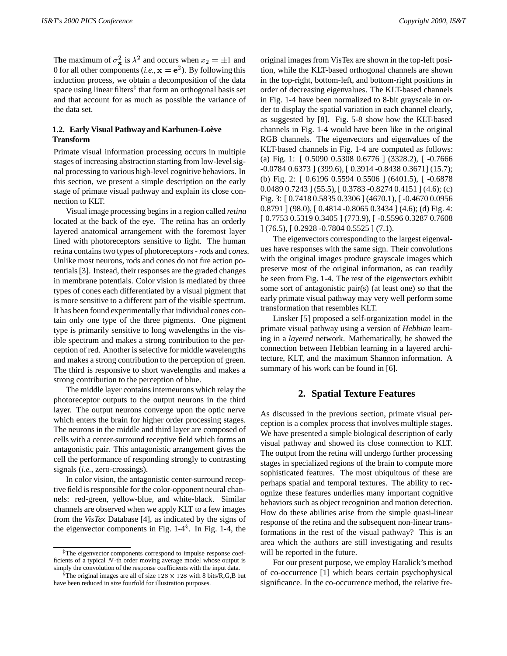The maximum of  $\sigma_{\mathbf{x}}^2$  is  $\lambda^2$  and occurs when  $x_2 = \pm 1$  and 0 for all other components (*i.e.*,  $x = e^2$ ). By following this induction process, we obtain a decomposition of the data space using linear filters $\ddot{\tau}$  that form an orthogonal basis set and that account for as much as possible the variance of the data set.

#### **1.2. Early Visual Pathway and Karhunen-Loev` e Transform**

Primate visual information processing occurs in multiple stages of increasing abstraction starting from low-level signal processing to various high-level cognitive behaviors. In this section, we present a simple description on the early stage of primate visual pathway and explain its close connection to KLT.

Visual image processing begins in a region called *retina* located at the back of the eye. The retina has an orderly layered anatomical arrangement with the foremost layer lined with photoreceptors sensitive to light. The human retina contains two types of photoreceptors - *rods* and *cones*. Unlike most neurons, rods and cones do not fire action potentials [3]. Instead, their responses are the graded changes in membrane potentials. Color vision is mediated by three types of cones each differentiated by a visual pigment that is more sensitive to a different part of the visible spectrum. It has been found experimentally that individual cones contain only one type of the three pigments. One pigment type is primarily sensitive to long wavelengths in the visible spectrum and makes a strong contribution to the perception of red. Another is selective for middle wavelengths and makes a strong contribution to the perception of green. The third is responsive to short wavelengths and makes a strong contribution to the perception of blue.

The middle layer contains interneurons which relay the photoreceptor outputs to the output neurons in the third layer. The output neurons converge upon the optic nerve which enters the brain for higher order processing stages. The neurons in the middle and third layer are composed of cells with a center-surround receptive field which forms an antagonistic pair. This antagonistic arrangement gives the cell the performance of responding strongly to contrasting signals (*i.e.*, zero-crossings).

In color vision, the antagonistic center-surround receptive field is responsible for the color-opponent neural channels: red-green, yellow-blue, and white-black. Similar channels are observed when we apply KLT to a few images from the *VisTex* Database [4], as indicated by the signs of the eigenvector components in Fig.  $1-4^{\frac{8}{3}}$ . In Fig. 1-4, the original images from VisTex are shown in the top-left position, while the KLT-based orthogonal channels are shown in the top-right, bottom-left, and bottom-right positions in order of decreasing eigenvalues. The KLT-based channels in Fig. 1-4 have been normalized to 8-bit grayscale in order to display the spatial variation in each channel clearly, as suggested by [8]. Fig. 5-8 show how the KLT-based channels in Fig. 1-4 would have been like in the original RGB channels. The eigenvectors and eigenvalues of the KLT-based channels in Fig. 1-4 are computed as follows: (a) Fig. 1: [ 0.5090 0.5308 0.6776 ] (3328.2), [ -0.7666 -0.0784 0.6373 ] (399.6), [ 0.3914 -0.8438 0.3671] (15.7); (b) Fig. 2: [ 0.6196 0.5594 0.5506 ] (6401.5), [ -0.6878 0.0489 0.7243 ] (55.5), [ 0.3783 -0.8274 0.4151 ] (4.6); (c) Fig. 3: [ 0.7418 0.5835 0.3306 ] (4670.1), [ -0.4670 0.0956 0.8791 ] (98.0), [ 0.4814 -0.8065 0.3434 ] (4.6); (d) Fig. 4: [ 0.7753 0.5319 0.3405 ] (773.9), [ -0.5596 0.3287 0.7608 ] (76.5), [ 0.2928 -0.7804 0.5525 ] (7.1).

The eigenvectors corresponding to the largest eigenvalues have responses with the same sign. Their convolutions with the original images produce grayscale images which preserve most of the original information, as can readily be seen from Fig. 1-4. The rest of the eigenvectors exhibit some sort of antagonistic pair(s) (at least one) so that the early primate visual pathway may very well perform some transformation that resembles KLT.

Linsker [5] proposed a self-organization model in the primate visual pathway using a version of *Hebbian* learning in a *layered* network. Mathematically, he showed the connection between Hebbian learning in a layered architecture, KLT, and the maximum Shannon information. A summary of his work can be found in [6].

# **2. Spatial Texture Features**

As discussed in the previous section, primate visual perception is a complex process that involves multiple stages. We have presented a simple biological description of early visual pathway and showed its close connection to KLT. The output from the retina will undergo further processing stages in specialized regions of the brain to compute more sophisticated features. The most ubiquitous of these are perhaps spatial and temporal textures. The ability to recognize these features underlies many important cognitive behaviors such as object recognition and motion detection. How do these abilities arise from the simple quasi-linear response of the retina and the subsequent non-linear transformations in the rest of the visual pathway? This is an area which the authors are still investigating and results will be reported in the future.

For our present purpose, we employ Haralick's method of co-occurrence [1] which bears certain psychophysical significance. In the co-occurrence method, the relative fre-

<sup>‡</sup>The eigenvector components correspond to impulse response coefficients of a typical  $N$ -th order moving average model whose output is simply the convolution of the response coefficients with the input data.

 $$$ The original images are all of size 128 × 128 with 8 bits/R,G,B but have been reduced in size fourfold for illustration purposes.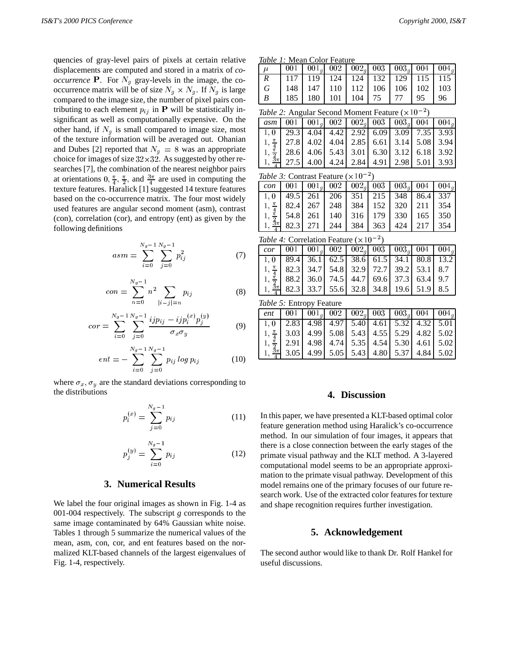quencies of gray-level pairs of pixels at certain relative displacements are computed and stored in a matrix of *cooccurrence* **P**. For  $N<sub>g</sub>$  gray-levels in the image, the cooccurrence matrix will be of size  $N_g \times N_g$ . If  $N_g$  is large compared to the image size, the number of pixel pairs contributing to each element  $p_{ij}$  in **P** will be statistically insignificant as well as computationally expensive. On the other hand, if  $N_g$  is small compared to image size, most of the texture information will be averaged out. Ohanian and Dubes [2] reported that  $N_g = 8$  was an appropriate choice for images of size  $32 \times 32$ . As suggested by other researches [7], the combination of the nearest neighbor pairs at orientations  $0, \frac{\pi}{4}, \frac{\pi}{2}$ , and  $\frac{3\pi}{4}$  are used in computing the texture features. Haralick [1] suggested 14 texture features based on the co-occurrence matrix. The four most widely used features are angular second moment (asm), contrast (con), correlation (cor), and entropy (ent) as given by the following definitions

$$
asm = \sum_{i=0}^{N_g - 1} \sum_{j=0}^{N_g - 1} p_{ij}^2
$$
 (7)

$$
con = \sum_{n=0}^{N_g - 1} n^2 \sum_{|i - j| = n} p_{ij}
$$
 (8)  $\frac{\begin{array}{c} 1, \frac{1}{2} \\ 1, \frac{1}{2} \end{array}}{Table}$ 

$$
cor = \sum_{i=0}^{N_g - 1} \sum_{j=0}^{N_g - 1} \frac{i j p_{ij} - i j p_i^{(x)} p_j^{(y)}}{\sigma_x \sigma_y} \tag{9}
$$

$$
ent = -\sum_{i=0}^{N_g-1} \sum_{j=0}^{N_g-1} p_{ij} \log p_{ij} \qquad (10)
$$

where  $\sigma_x$ ,  $\sigma_y$  are the standard deviations corresponding to the distributions

$$
p_i^{(x)} = \sum_{j=0}^{N_g - 1} p_{ij} \tag{11}
$$

$$
p_j^{(y)} = \sum_{i=0}^{N_g - 1} p_{ij} \tag{12}
$$

# **3. Numerical Results**

We label the four original images as shown in Fig. 1-4 as 001-004 respectively. The subscript *g* corresponds to the same image contaminated by 64% Gaussian white noise. Tables 1 through 5 summarize the numerical values of the mean, asm, con, cor, and ent features based on the normalized KLT-based channels of the largest eigenvalues of Fig. 1-4, respectively.

|  |  | <i>Table 1:</i> Mean Color Feature |
|--|--|------------------------------------|
|  |  |                                    |

| $\mu$ |  | 001   001 <sub>a</sub>   002   002 <sub>a</sub>   003   003 <sub>a</sub>   004   004 <sub>a</sub> |  |  |
|-------|--|---------------------------------------------------------------------------------------------------|--|--|
|       |  | 117   119   124   124   132   129   115   115                                                     |  |  |
| G     |  | 148   147   110   112   106   106   102   103                                                     |  |  |
| B     |  | 185 180 101 104 75 77                                                                             |  |  |

*Table 2:* Angular Second Moment Feature  $(x10^{-2})$ 

| $\begin{bmatrix}asm & 001 & 001_g & 002 & 002_g & 003 & 003_g & 004 & 004_g \end{bmatrix}$                                                                                                                                                                                                                      |  |  |  |  |
|-----------------------------------------------------------------------------------------------------------------------------------------------------------------------------------------------------------------------------------------------------------------------------------------------------------------|--|--|--|--|
| $1,0$   29.3   4.04   4.42   2.92   6.09   3.09   7.35   3.93                                                                                                                                                                                                                                                   |  |  |  |  |
|                                                                                                                                                                                                                                                                                                                 |  |  |  |  |
|                                                                                                                                                                                                                                                                                                                 |  |  |  |  |
| $\begin{array}{ l c c c c c c c } \hline 1, & \frac{\pi}{4} & 27.8 & 4.02 & 4.04 & 2.85 & 6.61 & 3.14 & 5.08 & 3.94 \\ \hline 1, & \frac{\pi}{2} & 28.6 & 4.06 & 5.43 & 3.01 & 6.30 & 3.12 & 6.18 & 3.92 \\ \hline 1, & \frac{3\pi}{4} & 27.5 & 4.00 & 4.24 & 2.84 & 4.91 & 2.98 & 5.01 & 3.93 \\ \hline \end{$ |  |  |  |  |

|  | <i>Table 3:</i> Contrast Feature $(x10^{-2})$ |  |
|--|-----------------------------------------------|--|
|--|-----------------------------------------------|--|

|  |  | con   001   001   002   002   003   003   004   004                                                                                     |  |  |
|--|--|-----------------------------------------------------------------------------------------------------------------------------------------|--|--|
|  |  | $1,0$ 49.5 261 206 351 215 348 86.4 337                                                                                                 |  |  |
|  |  | $\left[1, \frac{\pi}{4} \right]$ 82.4 267 248 384 152 320 211 354                                                                       |  |  |
|  |  | $\frac{1}{3}$ , $\frac{\frac{4}{3}}{\frac{3}{4}}$ 54.8 261 140 316 179 330 165 350<br>1, $\frac{3}{4}$ 82.3 271 244 384 363 424 217 354 |  |  |
|  |  |                                                                                                                                         |  |  |

*Table 4:* Correlation Feature  $(\times 10^{-2})$ 

| $cor$   001   001 <sub>g</sub>   002   002 <sub>g</sub>   003   003 <sub>g</sub>   004   004 <sub>g</sub>                                                                            |  |  |  |  |
|--------------------------------------------------------------------------------------------------------------------------------------------------------------------------------------|--|--|--|--|
|                                                                                                                                                                                      |  |  |  |  |
| 1, $\frac{\pi}{4}$   82.3  34.7  54.8  32.9  72.7  39.2  53.1  8.7                                                                                                                   |  |  |  |  |
|                                                                                                                                                                                      |  |  |  |  |
| $\left[\begin{array}{cc}1, \frac{7}{2} \\ 1, \frac{3\pi}{4} \end{array}\right]$ 88.2 36.0 74.5 44.7 69.6 37.3 63.4 9.7<br>1, $\frac{3\pi}{4}$ 82.3 33.7 55.6 32.8 34.8 19.6 51.9 8.5 |  |  |  |  |

*Table 5:* Entropy Feature

| $\mu$ ent   001   001   002   00 $\overline{2g}$   003   003   004   00 $\overline{4g}$                                                                                                                                       |  |  |  |  |
|-------------------------------------------------------------------------------------------------------------------------------------------------------------------------------------------------------------------------------|--|--|--|--|
|                                                                                                                                                                                                                               |  |  |  |  |
| $1, \frac{\pi}{4}$ 3.03 4.99 5.08 5.43 4.55 5.29 4.82 5.02                                                                                                                                                                    |  |  |  |  |
|                                                                                                                                                                                                                               |  |  |  |  |
| $\begin{array}{ c c c c c c c c } \hline 1 & \frac{\pi}{3} & 2.91 & 4.98 & 4.74 & 5.35 & 4.54 & 5.30 & 4.61 & 5.02 \\ \hline 1 & \frac{\pi}{34} & 3.05 & 4.99 & 5.05 & 5.43 & 4.80 & 5.37 & 4.84 & 5.02 \\\hline \end{array}$ |  |  |  |  |

## **4. Discussion**

In this paper, we have presented a KLT-based optimal color feature generation method using Haralick's co-occurrence method. In our simulation of four images, it appears that there is a close connection between the early stages of the primate visual pathway and the KLT method. A 3-layered computational model seems to be an appropriate approximation to the primate visual pathway. Development of this model remains one of the primary focuses of our future research work. Use of the extracted color features for texture and shape recognition requires further investigation.

# **5. Acknowledgement**

The second author would like to thank Dr. Rolf Hankel for useful discussions.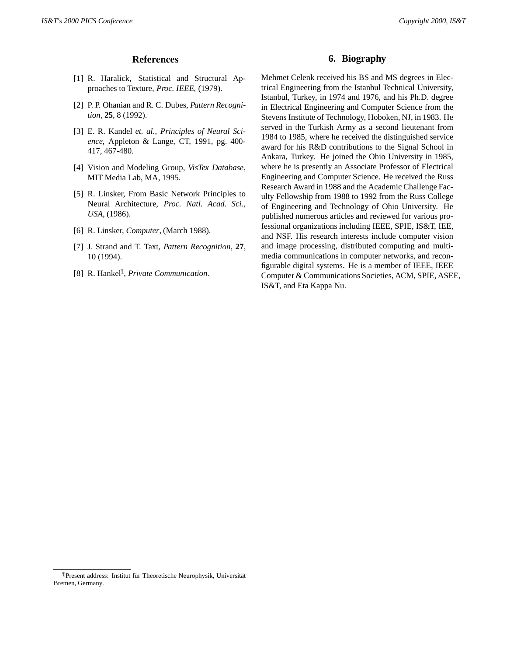#### **References**

- [1] R. Haralick, Statistical and Structural Approaches to Texture, *Proc. IEEE*, (1979).
- [2] P. P. Ohanian and R. C. Dubes, *Pattern Recognition*, **25**, 8 (1992).
- [3] E. R. Kandel *et. al.*, *Principles of Neural Science*, Appleton & Lange, CT, 1991, pg. 400- 417, 467-480.
- [4] Vision and Modeling Group, *VisTex Database*, MIT Media Lab, MA, 1995.
- [5] R. Linsker, From Basic Network Principles to Neural Architecture, *Proc. Natl. Acad. Sci., USA*, (1986).
- [6] R. Linsker, *Computer*, (March 1988).
- [7] J. Strand and T. Taxt, *Pattern Recognition*, **27**, 10 (1994).
- [8] R. Hankel ¶ , *Private Communication*.

# **6. Biography**

Mehmet Celenk received his BS and MS degrees in Electrical Engineering from the Istanbul Technical University, Istanbul, Turkey, in 1974 and 1976, and his Ph.D. degree in Electrical Engineering and Computer Science from the Stevens Institute of Technology, Hoboken, NJ, in 1983. He served in the Turkish Army as a second lieutenant from 1984 to 1985, where he received the distinguished service award for his R&D contributions to the Signal School in Ankara, Turkey. He joined the Ohio University in 1985, where he is presently an Associate Professor of Electrical Engineering and Computer Science. He received the Russ Research Award in 1988 and the Academic Challenge Faculty Fellowship from 1988 to 1992 from the Russ College of Engineering and Technology of Ohio University. He published numerous articles and reviewed for various professional organizations including IEEE, SPIE, IS&T, IEE, and NSF. His research interests include computer vision and image processing, distributed computing and multimedia communications in computer networks, and reconfigurable digital systems. He is a member of IEEE, IEEE Computer & Communications Societies, ACM, SPIE, ASEE, IS&T, and Eta Kappa Nu.

<sup>¶</sup>Present address: Institut für Theoretische Neurophysik, Universität Bremen, Germany.